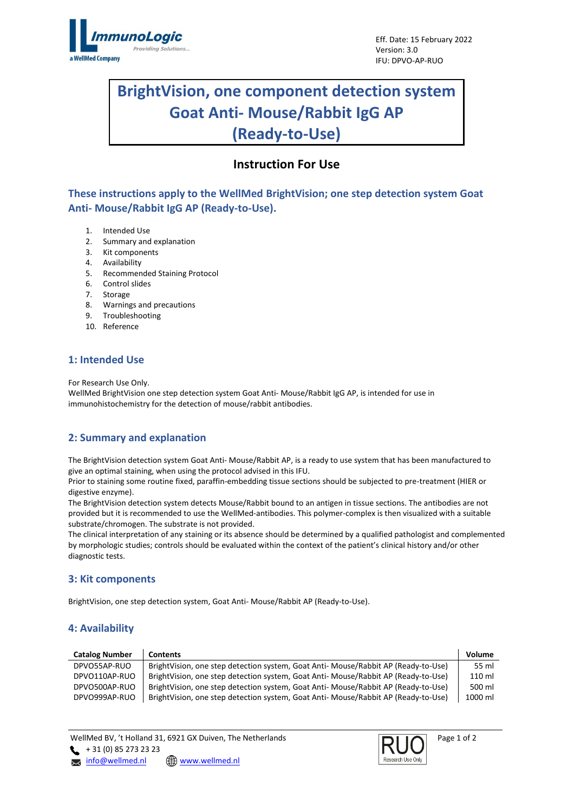

# **BrightVision, one component detection system Goat Anti- Mouse/Rabbit IgG AP (Ready-to-Use)**

# **Instruction For Use**

**These instructions apply to the WellMed BrightVision; one step detection system Goat Anti- Mouse/Rabbit IgG AP (Ready-to-Use).**

- 1. Intended Use
- 2. Summary and explanation
- 3. Kit components
- 4. Availability
- 5. Recommended Staining Protocol
- 6. Control slides
- 7. Storage
- 8. Warnings and precautions
- 9. Troubleshooting
- 10. Reference

# **1: Intended Use**

For Research Use Only.

WellMed BrightVision one step detection system Goat Anti- Mouse/Rabbit IgG AP, is intended for use in immunohistochemistry for the detection of mouse/rabbit antibodies.

# **2: Summary and explanation**

The BrightVision detection system Goat Anti- Mouse/Rabbit AP, is a ready to use system that has been manufactured to give an optimal staining, when using the protocol advised in this IFU.

Prior to staining some routine fixed, paraffin-embedding tissue sections should be subjected to pre-treatment (HIER or digestive enzyme).

The BrightVision detection system detects Mouse/Rabbit bound to an antigen in tissue sections. The antibodies are not provided but it is recommended to use the WellMed-antibodies. This polymer-complex is then visualized with a suitable substrate/chromogen. The substrate is not provided.

The clinical interpretation of any staining or its absence should be determined by a qualified pathologist and complemented by morphologic studies; controls should be evaluated within the context of the patient's clinical history and/or other diagnostic tests.

# **3: Kit components**

BrightVision, one step detection system, Goat Anti- Mouse/Rabbit AP (Ready-to-Use).

# **4: Availability**

| <b>Catalog Number</b> | <b>Contents</b>                                                                    | Volume  |
|-----------------------|------------------------------------------------------------------------------------|---------|
| DPVO55AP-RUO          | BrightVision, one step detection system, Goat Anti- Mouse/Rabbit AP (Ready-to-Use) | 55 ml   |
| DPVO110AP-RUO         | BrightVision, one step detection system, Goat Anti- Mouse/Rabbit AP (Ready-to-Use) | 110 ml  |
| DPVO500AP-RUO         | BrightVision, one step detection system, Goat Anti- Mouse/Rabbit AP (Ready-to-Use) | 500 ml  |
| DPVO999AP-RUO         | BrightVision, one step detection system, Goat Anti- Mouse/Rabbit AP (Ready-to-Use) | 1000 ml |